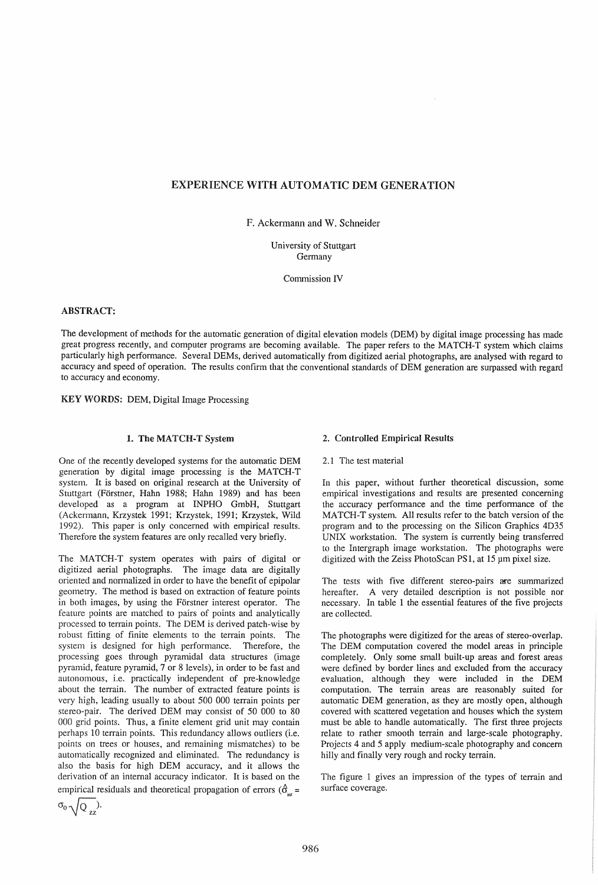# EXPERIENCE WITH AUTOMATIC DEM GENERATION

F. Ackermann and W. Schneider

University of Stuttgart Germany

Commission IV

## ABSTRACT:

The development of methods for the automatic generation of digital elevation models (DEM) by digital image processing has made great progress recently, and computer programs are becoming available. The paper refers to the MATCH-T system which claims particularly high performance. Several DEMs, derived automatically from digitized aerial photographs, are analysed with regard to accuracy and speed of operation. The results confirm that the conventional standards of DEM generation are surpassed with regard to accuracy and economy.

KEY WORDS: DEM, Digital Image Processing

# 1. The MATCH-T System

One of the recently developed systems for the automatic DEM generation by digital image processing is the MATCH-T system. It is based on original research at the University of Stuttgart (Förstner, Hahn 1988; Hahn 1989) and has been developed as a program at INPHO GmbH, Stuttgart (Ackermann, Krzystek 1991; Krzystek, 1991; Krzystek, Wild 1992). This paper is only concerned with empirical results. Therefore the system features are only recalled very briefly.

The MATCH-T system operates with pairs of digital or digitized aerial photographs. The image data are digitally oriented and normalized in order to have the benefit of epipolar geometry. The method is based on extraction of feature points in both images, by using the Forstner interest operator. The feature points are matched to pairs of points and analytically processed to terrain points. The DEM is derived patch-wise by robust fitting of finite elements to the terrain points. The system is designed for high performance. Therefore, the processing goes through pyramidal data structures (image pyramid, feature pyramid, 7 or 8 levels), in order to be fast and autonomous, i.e. practically independent of pre-knowledge about the terrain. The number of extracted feature points is very high, leading usually to about 500 000 terrain points per stereo-pair. The derived DEM may consist of 50 000 to 80 000 grid points. Thus, a finite element grid unit may contain perhaps 10 terrain points. This redundancy allows outliers (i.e. points on trees or houses, and remaining mismatches) to be automatically recognized and eliminated. The redundancy is also the basis for high DEM accuracy, and it allows the derivation of an internal accuracy indicator. It is based on the empirical residuals and theoretical propagation of errors ( $\hat{\sigma}_{in}$  =

$$
\sigma_0\,\sqrt{Q_{zz}}).
$$

### 2. Controlled Empirical Results

2.1 The test material

In this paper, without further theoretical discussion, some empirical investigations and results are presented concerning the accuracy performance and the time performance of the MATCH-T system. All results refer to the batch version of the program and to the processing on the Silicon Graphics 4D35 UNIX workstation. The system is currently being transferred to the Intergraph image workstation. The photographs were digitized with the Zeiss PhotoScan PS1, at 15 pm pixel size.

The tests with five different stereo-pairs are summarized hereafter. A very detailed description is not possible nor necessary. In table 1 the essential features of the five projects are collected.

The photographs were digitized for the areas of stereo-overlap. The DEM computation covered the model areas in principle completely. Only some small built-up areas and forest areas were defined by border lines and excluded from the accuracy evaluation, although they were included in the DEM computation. The terrain areas are reasonably suited for automatic DEM generation, as they are mostly open, although covered with scattered vegetation and houses which the system must be able to handle automatically. The first three projects relate to rather smooth terrain and large-scale photography. Projects 4 and 5 apply medium-scale photography and concern hilly and finally very rough and rocky terrain.

The figure 1 gives an impression of the types of terrain and surface coverage.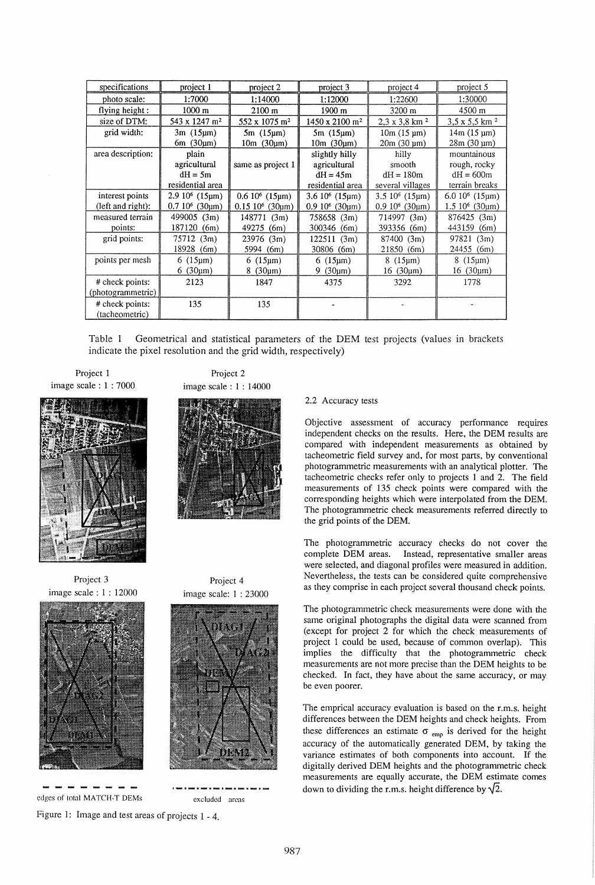| specifications                    | project 1                 | project 2                        | project 3                         | project 4                        | project 5                     |
|-----------------------------------|---------------------------|----------------------------------|-----------------------------------|----------------------------------|-------------------------------|
| photo scale:                      | 1:7000                    | 1:14000                          | 1:12000                           | 1:22600                          | 1:30000                       |
| flying height:                    | 1000 m                    | $2100 \; m$                      | 1900 m                            | 3200 m                           | 4500 m                        |
| size of DTM:                      | 543 x 1247 m <sup>2</sup> | $552 \times 1075$ m <sup>2</sup> | $1450 \times 2100$ m <sup>2</sup> | $2,3 \times 3,8$ km <sup>2</sup> | $3,5 \times 5,5 \text{ km}^2$ |
| grid width:                       | $3m(15 \mu m)$            | $5m(15\mu m)$                    | $5m(15\mu m)$                     | $10m(15 \text{ µm})$             | $14m(15 \text{ µm})$          |
|                                   | 6m(30µm)                  | $10m$ (30 $\mu$ m)               | 10m(30µm)                         | $20m(30 \text{ µm})$             | $28m(30 \text{ µm})$          |
| area description:                 | plain                     |                                  | slightly hilly                    | hilly                            | mountainous                   |
|                                   | agricultural              | same as project 1                | agricultural                      | smooth                           | rough, rocky                  |
|                                   | $dH = 5m$                 |                                  | $dH = 45m$                        | $dH = 180m$                      | $dH = 600m$                   |
|                                   | residential area          |                                  | residential area                  | several villages                 | terrain breaks                |
| interest points                   | $2.910^6$ (15µm)          | $0.6 10^6$ (15µm)                | $3.610^6$ (15 $\mu$ m)            | $3.5 10^6 (15 \mu m)$            | 6.0 $10^6$ (15 $\mu$ m)       |
| (left and right):                 | $0.7 10^6 (30 \mu m)$     | $0.15~10^6$ (30um)               | $0.910^6$ (30um)                  | $0.910^6$ (30um)                 | $1.510^6$ (30um)              |
| measured terrain                  | 499005 (3m)               | 148771 (3m)                      | 758658 (3m)                       | 714997 (3m)                      | 876425 (3m)                   |
| points:                           | 187120<br>(6m)            | 49275<br>(6m)                    | 300346 (6m)                       | 393356 (6m)                      | 443159<br>(6m)                |
| grid points:                      | 75712 (3m)                | 23976<br>(3m)                    | 122511 (3m)                       | 87400 (3m)                       | 97821 (3m)                    |
|                                   | 18928<br>(6m)             | 5994 (6m)                        | 30806 (6m)                        | 21850 (6m)                       | 24455 (6m)                    |
| points per mesh                   | $6(15 \mu m)$             | $6(15 \mu m)$                    | 6 $(15 \mu m)$                    | $8(15 \mu m)$                    | $8(15 \mu m)$                 |
|                                   | $6(30 \mu m)$             | (30µm)<br>8                      | (30µm)<br>9                       | 16 (30um)                        | $16(30 \mu m)$                |
| # check points:                   | 2123                      | 1847                             | 4375                              | 3292                             | 1778                          |
| (photogrammetric)                 |                           |                                  |                                   |                                  |                               |
| # check points:<br>(tacheometric) | 135                       | 135                              |                                   |                                  |                               |

Table 1 Geometrical and statistical parameters of the DEM test projects (values in brackets indicate the pixel resolution and the grid width, respectively)

Project 1 image scale : 1 : 7000



Project 3 image scale: 1 : 12000



edges of total MATCH-T DEMs

 $\overline{a}$ 





Project 4 image scale: 1 : 23000

excluded areas

2.2 Accuracy tests

Objective assessment of accuracy performance requires independent checks on the results. Here, the DEM results are compared with independent measurements as obtained by tacheometric field survey and, for most parts, by conventional photogrammetric measurements with an analytical plotter. The tacheometric checks refer only to projects 1 and 2. The field measurements of 135 check points were compared with the corresponding heights which were interpolated from the DEM. The photogrammetric check measurements referred directly to the grid points of the DEM.

The photogrammetric accuracy checks do not cover the complete DEM areas. Instead, representative smaller areas were selected, and diagonal profiles were measured in addition. Nevertheless, the tests can be considered quite comprehensive as they comprise in each project several thousand check points.

The photogrammetric check measurements were done with the same original photographs the digital data were scanned from (except for project 2 for which the check measurements of project 1 could be used, because of common overlap). This implies the difficulty that the photogrammetric check measurements are not more precise than the DEM heights to be checked. In fact, they have about the same accuracy, or may be even poorer.

The emprical accuracy evaluation is based on the r.m.s. height differences between the DEM heights and check heights. From these differences an estimate  $\sigma_{\text{emp}}$  is derived for the height accuracy of the automatically generated DEM, by taking the variance estimates of both components into account. If the digitally derived DEM heights and the photogrammetric check measurements are equally accurate, the DEM estimate comes down to dividing the r.m.s. height difference by  $\sqrt{2}$ .

Figure 1: Image and test areas of projects 1 - 4.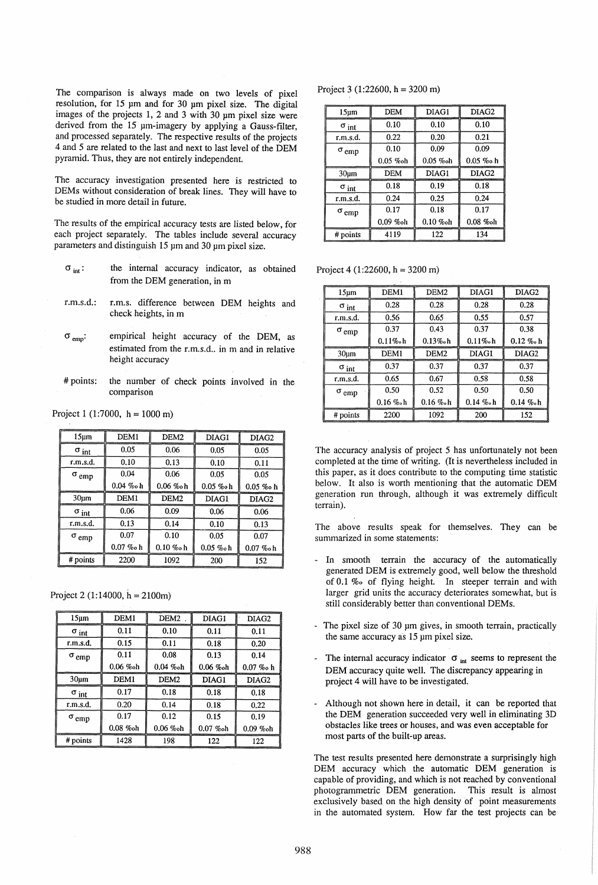The comparison is always made on two levels of pixel resolution, for 15 pm and for 30 pm pixel size. The digital images of the projects 1, 2 and 3 with 30 pm pixel size were derived from the 15 pm-imagery by applying a Gauss-fIlter, and processed separately. The respective results of the projects 4 and 5 are related to the last and next to last level of the DEM pyramid. Thus, they are not entirely independent.

The accuracy investigation presented here is restricted to DEMs without consideration of break lines. They will have to be studied in more detail in future.

The results of the empirical accuracy tests are listed below, for each project separately. The tables include several accuracy parameters and distinguish 15 pm and 30 pm pixel size.

- the internal accuracy indicator, as obtained  $\sigma$  int: from the DEM generation, in m
- r.m.s.d.: r.m.s. difference between DEM heights and check heights, in m
- $\sigma_{\text{emo}}$ : empirical height accuracy of the DEM, as estimated from the r.m.s.d., in m and in relative height accuracy
- # points: the number of check points involved in the comparison

|  |  | Project 1 (1:7000, $h = 1000$ m) |
|--|--|----------------------------------|
|--|--|----------------------------------|

| 15 <sub>µm</sub>        | DEM <sub>1</sub> | DEM <sub>2</sub> | DIAG1       | DIAG2             |
|-------------------------|------------------|------------------|-------------|-------------------|
| $\sigma_{\text{int}}$   | 0.05             | 0.06             | 0.05        | 0.05              |
| r.m.s.d.                | 0.10             | 0.13             | 0.10        | 0.11              |
| $\sigma$ <sub>emp</sub> | 0.04             | 0.06             | 0.05        | 0.05              |
|                         | $0.04\%$ oh      | $0.06 \%$ oh     | $0.05\%$ oh | $0.05\%$ oh       |
| 30 <sub>µm</sub>        | DEM1             | DEM <sub>2</sub> | DIAG1       | DIAG <sub>2</sub> |
| $\sigma$ int            | 0.06             | 0.09             | 0.06        | 0.06              |
| r.m.s.d.                | 0.13             | 0.14             | 0.10        | 0.13              |
| $\sigma$ <sub>emp</sub> | 0.07             | 0.10             | 0.05        | 0.07              |
|                         | $0.07 \ \%$ oh   | $0.10 \%$ oh     | $0.05\%$ oh | $0.07 \ \%$ oh    |
| # points                | 2200             | 1092             | 200         | 152               |

Project 2 (1:14000,  $h = 2100$ m)

| 15 <sub>µm</sub>        | DEM1             | DEM <sub>2</sub> | DIAG1        | DIAG2             |
|-------------------------|------------------|------------------|--------------|-------------------|
| $\sigma$ int            | 0.11             | 0.10             | 0.11         | 0.11              |
| r.m.s.d.                | 0.15             | 0.11             | 0.18         | 0.20              |
| $\sigma$ <sub>emp</sub> | 0.11             | 0.08             | 0.13         | 0.14              |
|                         | $0.06 \%$ oh     | $0.04 \, \%$ oh  | $0.06 \%$ oh | $0.07 \%$ oh      |
| 30 <sub>um</sub>        | DEM <sub>1</sub> | DEM <sub>2</sub> | DIAG1        | DIAG <sub>2</sub> |
| $\sigma$ int            | 0.17             | 0.18             | 0.18         | 0.18              |
| r.m.s.d.                | 0.20             | 0.14             | 0.18         | 0.22              |
| $\sigma$ <sub>emp</sub> | 0.17             | 0.12             | 0.15         | 0.19              |
|                         | $0.08\%$ oh      | $0.06 \%$ oh     | $0.07 \%$ oh | $0.09 \%$ oh      |
| # points                | 1428             | 198              | 122          | 122               |

Project 3 (1:22600,  $h = 3200$  m)

| 15 <sub>um</sub>        | DEM          | DIAG1          | DIAG2        |
|-------------------------|--------------|----------------|--------------|
| $\sigma$ int            | 0.10         | 0.10           | 0.10         |
| r.m.s.d.                | 0.22         | 0.20           | 0.21         |
| $\sigma$ <sub>emp</sub> | 0.10         | 0.09           | 0.09         |
|                         | $0.05 \%$ oh | $0.05 \ \%$ oh | $0.05\%$ o h |
| 30 <sub>µ</sub>         | <b>DEM</b>   | DIAG1          | DIAG2        |
| $\sigma$ int            | 0.18         | 0.19           | 0.18         |
| r.m.s.d.                | 0.24         | 0.25           | 0.24         |
| $\sigma_{\rm emp}$      | 0.17         | 0.18           | 0.17         |
|                         | $0.09\%$ oh  | $0.10\%$ oh    | $0.08 \%$ oh |
| # points                | 4119         | 122            | 134          |

Project 4 (1:22600, h = 3200 m)

| 15 <sub>um</sub>        | DEM1             | DEM <sub>2</sub> | DIAG1        | DIAG <sub>2</sub> |
|-------------------------|------------------|------------------|--------------|-------------------|
| $\sigma$ int            | 0.28             | 0.28             | 0.28         | 0.28              |
| r.m.s.d.                | 0.56             | 0.65             | 0.55         | 0.57              |
| $\sigma$ <sub>emp</sub> | 0.37             | 0.43             | 0.37         | 0.38              |
|                         | $0.11\%$ ch      | $0.13\%$ ch      | $0.11\%$ ch  | $0.12 \%$         |
| 30 <sub>µ</sub> m       | DEM <sub>1</sub> | DEM <sub>2</sub> | DIAG1        | DIAG2             |
| $\sigma$ int            | 0.37             | 0.37             | 0.37         | 0.37              |
| r.m.s.d.                | 0.65             | 0.67             | 0.58         | 0.58              |
| $\sigma$ <sub>emp</sub> | 0.50             | 0.52             | 0.50         | 0.50              |
|                         | $0.16 \%$ ch     | $0.16 \%$ ch     | $0.14 \%$ ch | $0.14 \%$ ch      |
| # points                | 2200             | 1092             | 200          | 152               |

The accuracy analysis of project 5 has unfortunately not been completed at the time of writing. (It is nevertheless included in this paper, as it does contribute to the computing time statistic below. It also is worth mentioning that the automatic DEM generation run through, although it was extremely difficult terrain).

The above results speak for themselves. They can be summarized in some statements:

- In smooth terrain the accuracy of the automatically generated DEM is extremely good, well below the threshold of 0.1 %0 of flying height. In steeper terrain and with larger grid units the accuracy deteriorates somewhat, but is still considerably better than conventional DEMs .
- The pixel size of 30 pm gives, in smooth terrain, practically the same accuracy as 15 pm pixel size.
- The internal accuracy indicator  $\sigma$ <sub>int</sub> seems to represent the DEM accuracy quite well. The discrepancy appearing in project 4 will have to be investigated.
- Although not shown here in detail, it can be reported that the DEM generation succeeded very well in eliminating 3D obstacles like trees or houses, and was even acceptable for most parts of the built-up areas.

The test results presented here demonstrate a surprisingly high DEM accuracy which the automatic DEM generation is capable of providing, and which is not reached by conventional photogrammetric DEM generation. This result is almost exclusively based on the high density of point measurements in the automated system. How far the test projects can be